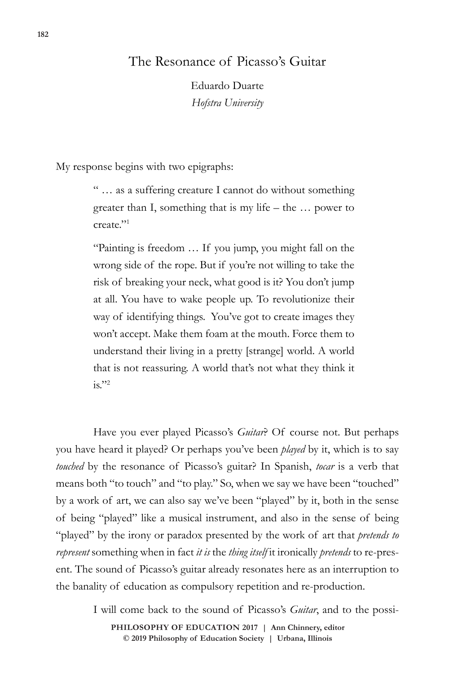## The Resonance of Picasso's Guitar

Eduardo Duarte *Hofstra University*

My response begins with two epigraphs:

" … as a suffering creature I cannot do without something greater than I, something that is my life – the … power to create."1

"Painting is freedom … If you jump, you might fall on the wrong side of the rope. But if you're not willing to take the risk of breaking your neck, what good is it? You don't jump at all. You have to wake people up. To revolutionize their way of identifying things. You've got to create images they won't accept. Make them foam at the mouth. Force them to understand their living in a pretty [strange] world. A world that is not reassuring. A world that's not what they think it  $is.$ "2

Have you ever played Picasso's *Guitar*? Of course not. But perhaps you have heard it played? Or perhaps you've been *played* by it, which is to say *touched* by the resonance of Picasso's guitar? In Spanish, *tocar* is a verb that means both "to touch" and "to play." So, when we say we have been "touched" by a work of art, we can also say we've been "played" by it, both in the sense of being "played" like a musical instrument, and also in the sense of being "played" by the irony or paradox presented by the work of art that *pretends to represent* something when in fact *it is* the *thing itself* it ironically *pretends* to re-present. The sound of Picasso's guitar already resonates here as an interruption to the banality of education as compulsory repetition and re-production.

I will come back to the sound of Picasso's *Guitar*, and to the possi-

© 2019 Philosophy of Education Society | Urbana, Illinois **PHILOSOPHY OF EDUCATION 2017 | Ann Chinnery, editor**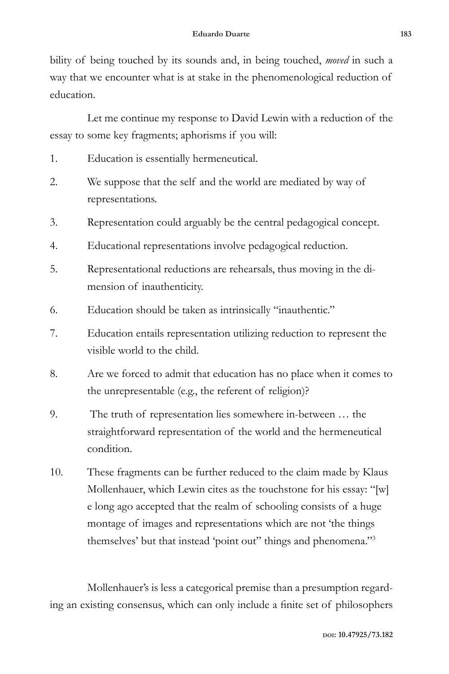bility of being touched by its sounds and, in being touched, *moved* in such a way that we encounter what is at stake in the phenomenological reduction of education.

Let me continue my response to David Lewin with a reduction of the essay to some key fragments; aphorisms if you will:

- 1. Education is essentially hermeneutical.
- 2. We suppose that the self and the world are mediated by way of representations.
- 3. Representation could arguably be the central pedagogical concept.
- 4. Educational representations involve pedagogical reduction.
- 5. Representational reductions are rehearsals, thus moving in the dimension of inauthenticity.
- 6. Education should be taken as intrinsically "inauthentic."
- 7. Education entails representation utilizing reduction to represent the visible world to the child.
- 8. Are we forced to admit that education has no place when it comes to the unrepresentable (e.g., the referent of religion)?
- 9. The truth of representation lies somewhere in-between … the straightforward representation of the world and the hermeneutical condition.
- 10. These fragments can be further reduced to the claim made by Klaus Mollenhauer, which Lewin cites as the touchstone for his essay: "[w] e long ago accepted that the realm of schooling consists of a huge montage of images and representations which are not 'the things themselves' but that instead 'point out" things and phenomena."3

Mollenhauer's is less a categorical premise than a presumption regarding an existing consensus, which can only include a finite set of philosophers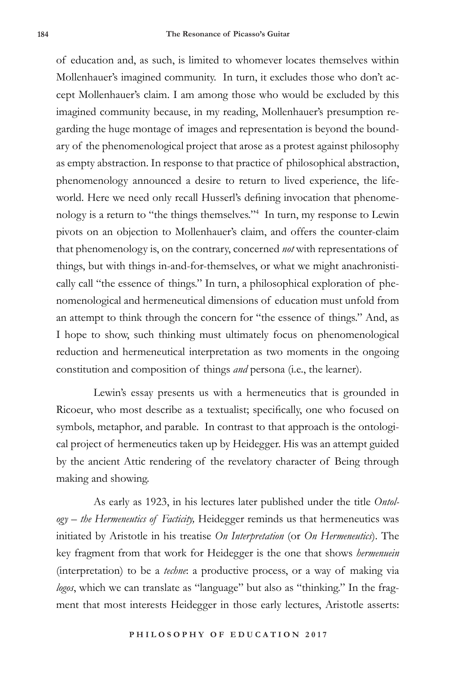of education and, as such, is limited to whomever locates themselves within Mollenhauer's imagined community. In turn, it excludes those who don't accept Mollenhauer's claim. I am among those who would be excluded by this imagined community because, in my reading, Mollenhauer's presumption regarding the huge montage of images and representation is beyond the boundary of the phenomenological project that arose as a protest against philosophy as empty abstraction. In response to that practice of philosophical abstraction, phenomenology announced a desire to return to lived experience, the lifeworld. Here we need only recall Husserl's defining invocation that phenomenology is a return to "the things themselves."4 In turn, my response to Lewin pivots on an objection to Mollenhauer's claim, and offers the counter-claim that phenomenology is, on the contrary, concerned *not* with representations of things, but with things in-and-for-themselves, or what we might anachronistically call "the essence of things." In turn, a philosophical exploration of phenomenological and hermeneutical dimensions of education must unfold from an attempt to think through the concern for "the essence of things." And, as I hope to show, such thinking must ultimately focus on phenomenological reduction and hermeneutical interpretation as two moments in the ongoing constitution and composition of things *and* persona (i.e., the learner).

Lewin's essay presents us with a hermeneutics that is grounded in Ricoeur, who most describe as a textualist; specifically, one who focused on symbols, metaphor, and parable. In contrast to that approach is the ontological project of hermeneutics taken up by Heidegger. His was an attempt guided by the ancient Attic rendering of the revelatory character of Being through making and showing.

As early as 1923, in his lectures later published under the title *Ontology – the Hermeneutics of Facticity,* Heidegger reminds us that hermeneutics was initiated by Aristotle in his treatise *On Interpretation* (or *On Hermeneutics*). The key fragment from that work for Heidegger is the one that shows *hermenuein* (interpretation) to be a *techne*: a productive process, or a way of making via *logos*, which we can translate as "language" but also as "thinking." In the fragment that most interests Heidegger in those early lectures, Aristotle asserts: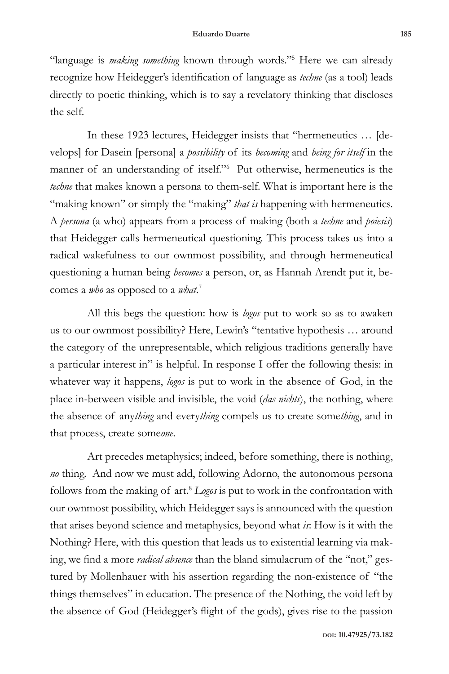"language is *making something* known through words."5 Here we can already recognize how Heidegger's identification of language as *techne* (as a tool) leads directly to poetic thinking, which is to say a revelatory thinking that discloses the self.

In these 1923 lectures, Heidegger insists that "hermeneutics … [develops] for Dasein [persona] a *possibility* of its *becoming* and *being for itself* in the manner of an understanding of itself."6 Put otherwise, hermeneutics is the *techne* that makes known a persona to them-self. What is important here is the "making known" or simply the "making" *that is* happening with hermeneutics. A *persona* (a who) appears from a process of making (both a *techne* and *poiesis*) that Heidegger calls hermeneutical questioning. This process takes us into a radical wakefulness to our ownmost possibility, and through hermeneutical questioning a human being *becomes* a person, or, as Hannah Arendt put it, becomes a *who* as opposed to a *what*. 7

All this begs the question: how is *logos* put to work so as to awaken us to our ownmost possibility? Here, Lewin's "tentative hypothesis … around the category of the unrepresentable, which religious traditions generally have a particular interest in" is helpful. In response I offer the following thesis: in whatever way it happens, *logos* is put to work in the absence of God, in the place in-between visible and invisible, the void (*das nichts*), the nothing, where the absence of any*thing* and every*thing* compels us to create some*thing*, and in that process, create some*one*.

Art precedes metaphysics; indeed, before something, there is nothing, *no* thing. And now we must add, following Adorno, the autonomous persona follows from the making of art.8 *Logos* is put to work in the confrontation with our ownmost possibility, which Heidegger says is announced with the question that arises beyond science and metaphysics, beyond what *is*: How is it with the Nothing? Here, with this question that leads us to existential learning via making, we find a more *radical absence* than the bland simulacrum of the "not," gestured by Mollenhauer with his assertion regarding the non-existence of "the things themselves" in education. The presence of the Nothing, the void left by the absence of God (Heidegger's flight of the gods), gives rise to the passion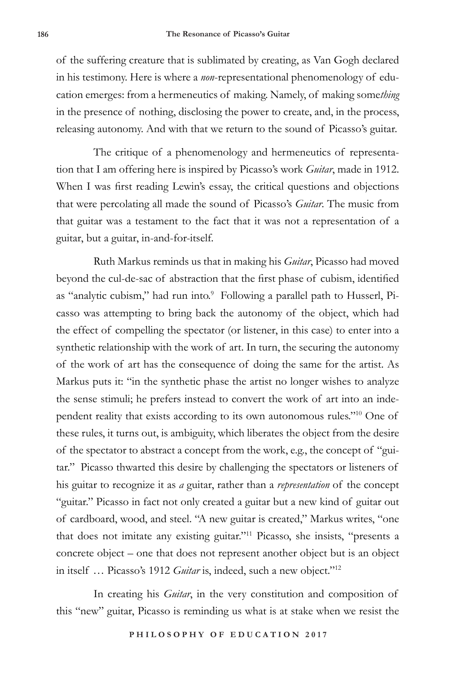of the suffering creature that is sublimated by creating, as Van Gogh declared in his testimony. Here is where a *non*-representational phenomenology of education emerges: from a hermeneutics of making. Namely, of making some*thing* in the presence of nothing, disclosing the power to create, and, in the process, releasing autonomy. And with that we return to the sound of Picasso's guitar.

The critique of a phenomenology and hermeneutics of representation that I am offering here is inspired by Picasso's work *Guitar*, made in 1912. When I was first reading Lewin's essay, the critical questions and objections that were percolating all made the sound of Picasso's *Guitar*. The music from that guitar was a testament to the fact that it was not a representation of a guitar, but a guitar, in-and-for-itself.

Ruth Markus reminds us that in making his *Guitar*, Picasso had moved beyond the cul-de-sac of abstraction that the first phase of cubism, identified as "analytic cubism," had run into.<sup>9</sup> Following a parallel path to Husserl, Picasso was attempting to bring back the autonomy of the object, which had the effect of compelling the spectator (or listener, in this case) to enter into a synthetic relationship with the work of art. In turn, the securing the autonomy of the work of art has the consequence of doing the same for the artist. As Markus puts it: "in the synthetic phase the artist no longer wishes to analyze the sense stimuli; he prefers instead to convert the work of art into an independent reality that exists according to its own autonomous rules."10 One of these rules, it turns out, is ambiguity, which liberates the object from the desire of the spectator to abstract a concept from the work, e.g., the concept of "guitar." Picasso thwarted this desire by challenging the spectators or listeners of his guitar to recognize it as *a* guitar, rather than a *representation* of the concept "guitar." Picasso in fact not only created a guitar but a new kind of guitar out of cardboard, wood, and steel. "A new guitar is created," Markus writes, "one that does not imitate any existing guitar."11 Picasso, she insists, "presents a concrete object – one that does not represent another object but is an object in itself … Picasso's 1912 *Guitar* is, indeed, such a new object."12

In creating his *Guitar*, in the very constitution and composition of this "new" guitar, Picasso is reminding us what is at stake when we resist the